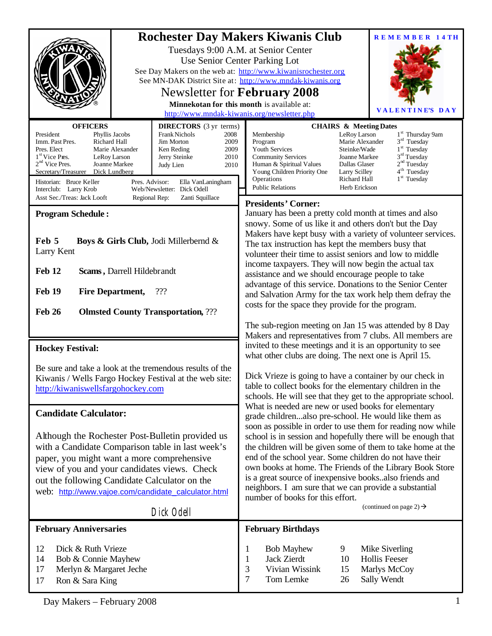|                                                                                                                                                                                                                                                                                                                                                                                                                                                                                                                              | <b>Rochester Day Makers Kiwanis Club</b><br>REMEMBER 14TH<br>Tuesdays 9:00 A.M. at Senior Center<br>Use Senior Center Parking Lot<br>See Day Makers on the web at: http://www.kiwanisrochester.org<br>See MN-DAK District Site at: http://www.mndak-kiwanis.org<br>Newsletter for February 2008<br>Minnekotan for this month is available at:<br>VALENTINE'S DAY<br>http://www.mndak-kiwanis.org/newsletter.php                                                                                                                                                                                                                 |
|------------------------------------------------------------------------------------------------------------------------------------------------------------------------------------------------------------------------------------------------------------------------------------------------------------------------------------------------------------------------------------------------------------------------------------------------------------------------------------------------------------------------------|---------------------------------------------------------------------------------------------------------------------------------------------------------------------------------------------------------------------------------------------------------------------------------------------------------------------------------------------------------------------------------------------------------------------------------------------------------------------------------------------------------------------------------------------------------------------------------------------------------------------------------|
| <b>OFFICERS</b><br><b>DIRECTORS</b> (3 yr terms)<br>President<br><b>Frank Nichols</b><br>Phyllis Jacobs<br>2008<br>Imm. Past Pres.<br>Richard Hall<br>2009<br><b>Jim Morton</b><br>Pres. Elect<br>Marie Alexander<br>2009<br>Ken Reding<br>$1st$ Vice Pres.<br>LeRoy Larson<br>Jerry Steinke<br>2010<br>$2nd$ Vice Pres.<br>Joanne Markee<br>Judy Lien<br>2010<br>Secretary/Treasurer Dick Lundberg<br>Historian: Bruce Keller<br>Pres. Advisor:<br>Ella VanLaningham<br>Web/Newsletter: Dick Odell<br>Interclub: Larry Krob | <b>CHAIRS &amp; Meeting Dates</b><br>Membership<br>1 <sup>st</sup> Thursday 9am<br>LeRoy Larson<br>$3rd$ Tuesday<br>Marie Alexander<br>Program<br>1 <sup>st</sup> Tuesday<br>Youth Services<br>Steinke/Wade<br>3 <sup>rd</sup> Tuesday<br><b>Community Services</b><br>Joanne Markee<br>2 <sup>nd</sup> Tuesday<br>Human & Spiritual Values<br>Dallas Glaser<br>4 <sup>th</sup> Tuesday<br>Young Children Priority One<br><b>Larry Scilley</b><br>$1st$ Tuesday<br>Operations<br>Richard Hall<br><b>Public Relations</b><br>Herb Erickson                                                                                       |
| Asst Sec./Treas: Jack Looft<br>Zanti Squillace<br>Regional Rep:<br><b>Program Schedule:</b><br>Feb 5<br>Boys & Girls Club, Jodi Millerbernd &<br>Larry Kent<br>Feb 12<br>Scams, Darrell Hildebrandt<br>Feb 19<br><b>Fire Department,</b><br>222<br><b>Feb 26</b><br><b>Olmsted County Transportation, ???</b>                                                                                                                                                                                                                | <b>Presidents' Corner:</b><br>January has been a pretty cold month at times and also<br>snowy. Some of us like it and others don't but the Day<br>Makers have kept busy with a variety of volunteer services.<br>The tax instruction has kept the members busy that<br>volunteer their time to assist seniors and low to middle<br>income taxpayers. They will now begin the actual tax<br>assistance and we should encourage people to take<br>advantage of this service. Donations to the Senior Center<br>and Salvation Army for the tax work help them defray the<br>costs for the space they provide for the program.      |
| <b>Hockey Festival:</b>                                                                                                                                                                                                                                                                                                                                                                                                                                                                                                      | The sub-region meeting on Jan 15 was attended by 8 Day<br>Makers and representatives from 7 clubs. All members are<br>invited to these meetings and it is an opportunity to see<br>what other clubs are doing. The next one is April 15.                                                                                                                                                                                                                                                                                                                                                                                        |
| Be sure and take a look at the tremendous results of the<br>Kiwanis / Wells Fargo Hockey Festival at the web site:<br>http://kiwaniswellsfargohockey.com                                                                                                                                                                                                                                                                                                                                                                     | Dick Vrieze is going to have a container by our check in<br>table to collect books for the elementary children in the<br>schools. He will see that they get to the appropriate school.                                                                                                                                                                                                                                                                                                                                                                                                                                          |
| <b>Candidate Calculator:</b><br>Although the Rochester Post-Bulletin provided us<br>with a Candidate Comparison table in last week's<br>paper, you might want a more comprehensive<br>view of you and your candidates views. Check<br>out the following Candidate Calculator on the<br>web: http://www.vajoe.com/candidate calculator.html<br>Dick Odell                                                                                                                                                                     | What is needed are new or used books for elementary<br>grade childrenalso pre-school. He would like them as<br>soon as possible in order to use them for reading now while<br>school is in session and hopefully there will be enough that<br>the children will be given some of them to take home at the<br>end of the school year. Some children do not have their<br>own books at home. The Friends of the Library Book Store<br>is a great source of inexpensive booksalso friends and<br>neighbors. I am sure that we can provide a substantial<br>number of books for this effort.<br>(continued on page 2) $\rightarrow$ |
| <b>February Anniversaries</b>                                                                                                                                                                                                                                                                                                                                                                                                                                                                                                | <b>February Birthdays</b>                                                                                                                                                                                                                                                                                                                                                                                                                                                                                                                                                                                                       |
| 12<br>Dick & Ruth Vrieze<br>14<br>Bob & Connie Mayhew<br>17<br>Merlyn & Margaret Jeche<br>17<br>Ron & Sara King                                                                                                                                                                                                                                                                                                                                                                                                              | <b>Bob Mayhew</b><br>9<br>Mike Siverling<br>1<br>Jack Zierdt<br>10<br><b>Hollis Feeser</b><br>$\mathbf 1$<br>$\mathfrak{Z}$<br>Vivian Wissink<br>15<br>Marlys McCoy<br>7<br>Tom Lemke<br>26<br>Sally Wendt                                                                                                                                                                                                                                                                                                                                                                                                                      |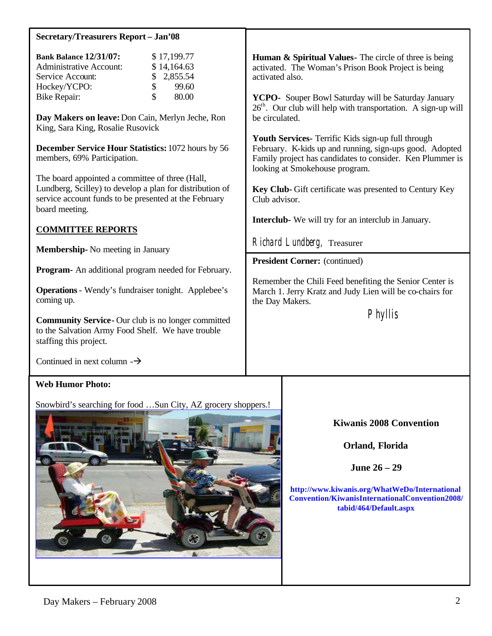| <b>Secretary/Treasurers Report - Jan'08</b>                                                                                                                                                                                                                                                   |                                                                                                                                                                                                                                                                                          |
|-----------------------------------------------------------------------------------------------------------------------------------------------------------------------------------------------------------------------------------------------------------------------------------------------|------------------------------------------------------------------------------------------------------------------------------------------------------------------------------------------------------------------------------------------------------------------------------------------|
| \$17,199.77<br><b>Bank Balance 12/31/07:</b><br><b>Administrative Account:</b><br>\$14,164.63<br>\$2,855.54<br>Service Account:<br>\$<br>99.60<br>Hockey/YCPO:<br>\$<br>80.00<br><b>Bike Repair:</b><br>Day Makers on leave: Don Cain, Merlyn Jeche, Ron<br>King, Sara King, Rosalie Rusovick | <b>Human &amp; Spiritual Values</b> - The circle of three is being<br>activated. The Woman's Prison Book Project is being<br>activated also.<br>YCPO- Souper Bowl Saturday will be Saturday January<br>$26th$ . Our club will help with transportation. A sign-up will<br>be circulated. |
| December Service Hour Statistics: 1072 hours by 56<br>members, 69% Participation.                                                                                                                                                                                                             | Youth Services- Terrific Kids sign-up full through<br>February. K-kids up and running, sign-ups good. Adopted<br>Family project has candidates to consider. Ken Plummer is<br>looking at Smokehouse program.                                                                             |
| The board appointed a committee of three (Hall,<br>Lundberg, Scilley) to develop a plan for distribution of<br>service account funds to be presented at the February<br>board meeting.                                                                                                        | Key Club- Gift certificate was presented to Century Key<br>Club advisor.                                                                                                                                                                                                                 |
| <b>COMMITTEE REPORTS</b>                                                                                                                                                                                                                                                                      | <b>Interclub-</b> We will try for an interclub in January.                                                                                                                                                                                                                               |
| <b>Membership-</b> No meeting in January                                                                                                                                                                                                                                                      | Richard Lundberg, Treasurer                                                                                                                                                                                                                                                              |
| Program- An additional program needed for February.                                                                                                                                                                                                                                           | <b>President Corner:</b> (continued)                                                                                                                                                                                                                                                     |
| <b>Operations</b> - Wendy's fundraiser tonight. Applebee's<br>coming up.                                                                                                                                                                                                                      | Remember the Chili Feed benefiting the Senior Center is<br>March 1. Jerry Kratz and Judy Lien will be co-chairs for<br>the Day Makers.                                                                                                                                                   |
| <b>Community Service-</b> Our club is no longer committed<br>to the Salvation Army Food Shelf. We have trouble<br>staffing this project.                                                                                                                                                      | Phyllis                                                                                                                                                                                                                                                                                  |
| Continued in next column $-\rightarrow$                                                                                                                                                                                                                                                       |                                                                                                                                                                                                                                                                                          |

**Web Humor Photo:**

Snowbird's searching for food …Sun City, AZ grocery shoppers.!



**Kiwanis 2008 Convention**

**Orland, Florida**

**June 26 – 29**

**<http://www.kiwanis.org/WhatWeDo/International> Convention/KiwanisInternationalConvention2008/ tabid/464/Default.aspx**